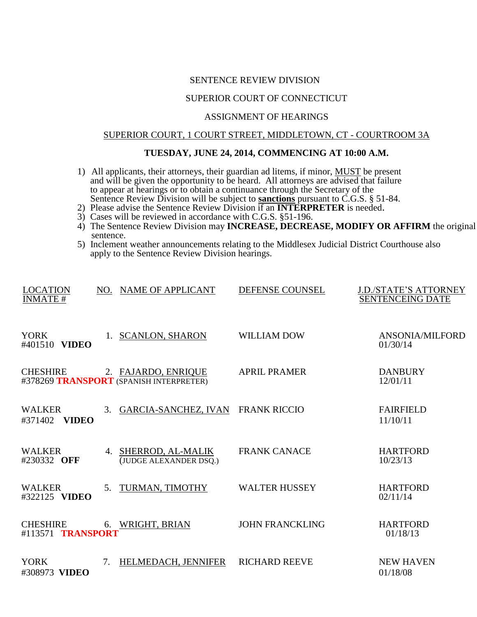#### SENTENCE REVIEW DIVISION

## SUPERIOR COURT OF CONNECTICUT

### ASSIGNMENT OF HEARINGS

# SUPERIOR COURT, 1 COURT STREET, MIDDLETOWN, CT - COURTROOM 3A

### **TUESDAY, JUNE 24, 2014, COMMENCING AT 10:00 A.M.**

- 1) All applicants, their attorneys, their guardian ad litems, if minor, MUST be present and will be given the opportunity to be heard. All attorneys are advised that failure to appear at hearings or to obtain a continuance through the Secretary of the Sentence Review Division will be subject to **sanctions** pursuant to C.G.S. § 51-84.
- 2) Please advise the Sentence Review Division if an **INTERPRETER** is needed.
- 3) Cases will be reviewed in accordance with C.G.S. §51-196.
- 4) The Sentence Review Division may **INCREASE, DECREASE, MODIFY OR AFFIRM** the original sentence.
- 5) Inclement weather announcements relating to the Middlesex Judicial District Courthouse also apply to the Sentence Review Division hearings.

| <b>LOCATION</b><br><b>INMATE#</b>        |    | NO. NAME OF APPLICANT                                          | DEFENSE COUNSEL        | <b>J.D./STATE'S ATTORNEY</b><br><b>SENTENCEING DATE</b> |
|------------------------------------------|----|----------------------------------------------------------------|------------------------|---------------------------------------------------------|
| <b>YORK</b><br>#401510 <b>VIDEO</b>      |    | 1. SCANLON, SHARON                                             | <b>WILLIAM DOW</b>     | ANSONIA/MILFORD<br>01/30/14                             |
| <b>CHESHIRE</b>                          |    | 2. FAJARDO, ENRIQUE<br>#378269 TRANSPORT (SPANISH INTERPRETER) | <b>APRIL PRAMER</b>    | <b>DANBURY</b><br>12/01/11                              |
| <b>WALKER</b><br>#371402<br><b>VIDEO</b> | 3. | <b>GARCIA-SANCHEZ, IVAN</b>                                    | <b>FRANK RICCIO</b>    | <b>FAIRFIELD</b><br>11/10/11                            |
| <b>WALKER</b><br>#230332 OFF             |    | 4. SHERROD, AL-MALIK<br>(JUDGE ALEXANDER DSQ.)                 | <b>FRANK CANACE</b>    | <b>HARTFORD</b><br>10/23/13                             |
| <b>WALKER</b><br>#322125 VIDEO           | 5. | TURMAN, TIMOTHY                                                | <b>WALTER HUSSEY</b>   | <b>HARTFORD</b><br>02/11/14                             |
| <b>CHESHIRE</b><br>#113571 TRANSPORT     |    | 6. WRIGHT, BRIAN                                               | <b>JOHN FRANCKLING</b> | <b>HARTFORD</b><br>01/18/13                             |
| <b>YORK</b><br>#308973 VIDEO             | 7. | HELMEDACH, JENNIFER                                            | <b>RICHARD REEVE</b>   | <b>NEW HAVEN</b><br>01/18/08                            |